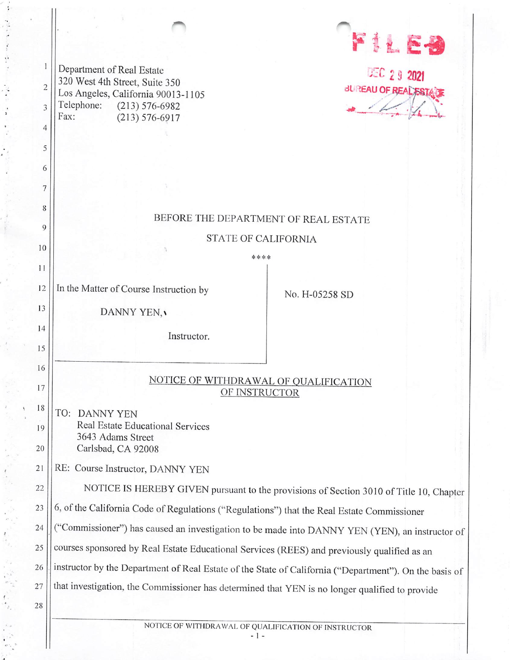|                          | 2 9 2021 |  |
|--------------------------|----------|--|
| <b>BUREAU OF REALEST</b> |          |  |
|                          |          |  |

|                | Department of Real Estate                                                                              | DEC 2 9 2021                |  |  |  |
|----------------|--------------------------------------------------------------------------------------------------------|-----------------------------|--|--|--|
| $\overline{2}$ | 320 West 4th Street, Suite 350<br>Los Angeles, California 90013-1105                                   | <b>BUREAU OF REAL ESTAD</b> |  |  |  |
| 3              | Telephone:<br>$(213) 576 - 6982$<br>Fax:<br>$(213) 576 - 6917$                                         |                             |  |  |  |
| 4              |                                                                                                        |                             |  |  |  |
| 5              |                                                                                                        |                             |  |  |  |
| 6              |                                                                                                        |                             |  |  |  |
| 7              |                                                                                                        |                             |  |  |  |
| 8              |                                                                                                        |                             |  |  |  |
| 9              | BEFORE THE DEPARTMENT OF REAL ESTATE                                                                   |                             |  |  |  |
| 10             | <b>STATE OF CALIFORNIA</b>                                                                             |                             |  |  |  |
| 11             | ****                                                                                                   |                             |  |  |  |
|                |                                                                                                        |                             |  |  |  |
| 12             | In the Matter of Course Instruction by                                                                 | No. H-05258 SD              |  |  |  |
| 13             | DANNY YEN,                                                                                             |                             |  |  |  |
| 14             | Instructor.                                                                                            |                             |  |  |  |
| 15             |                                                                                                        |                             |  |  |  |
| 16             |                                                                                                        |                             |  |  |  |
| 17             | NOTICE OF WITHDRAWAL OF QUALIFICATION                                                                  |                             |  |  |  |
| 18             | OF INSTRUCTOR                                                                                          |                             |  |  |  |
|                | TO: DANNY YEN<br>Real Estate Educational Services                                                      |                             |  |  |  |
| 19             | 3643 Adams Street                                                                                      |                             |  |  |  |
| 20             | Carlsbad, CA 92008                                                                                     |                             |  |  |  |
| 21             | RE: Course Instructor, DANNY YEN                                                                       |                             |  |  |  |
| 22             | NOTICE IS HEREBY GIVEN pursuant to the provisions of Section 3010 of Title 10, Chapter                 |                             |  |  |  |
| 23             | 6, of the California Code of Regulations ("Regulations") that the Real Estate Commissioner             |                             |  |  |  |
| 24             | "Commissioner") has caused an investigation to be made into DANNY YEN (YEN), an instructor of          |                             |  |  |  |
| 25             | courses sponsored by Real Estate Educational Services (REES) and previously qualified as an            |                             |  |  |  |
| 26             | instructor by the Department of Real Estate of the State of California ("Department"). On the basis of |                             |  |  |  |
| 27             | that investigation, the Commissioner has determined that YEN is no longer qualified to provide         |                             |  |  |  |
| 28             |                                                                                                        |                             |  |  |  |
|                |                                                                                                        |                             |  |  |  |

 $\ddot{\cdot}$ 

B ý

NOTICE OF WITHDRAWAL OF QUALIFICATION OF INSTRUCTOR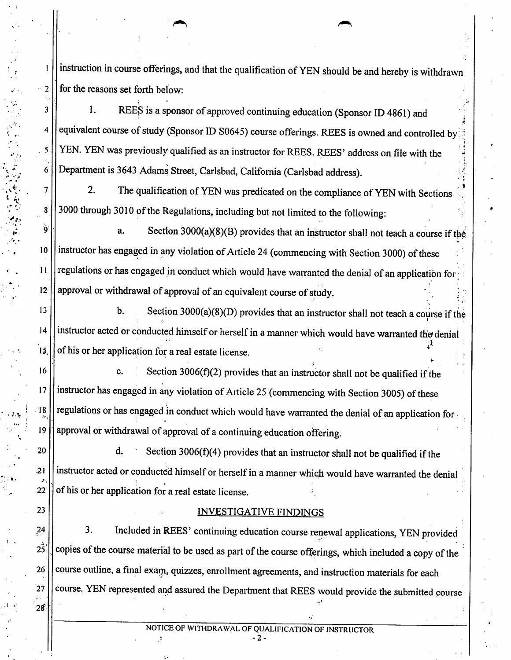instruction in course offerings, and that the qualification of YEN should be and hereby is withdrawn  $\sim$  2  $\parallel$  for the reasons set forth below:

 $\vert$  1. REES is a sponsor of approved continuing education (Sponsor ID 4861) and 4 equivalent course of study (Sponsor ID S0645) course offerings. REES is owned and controlled by  $15$  YEN. YEN was previously qualified as an instructor for REES. REES' address on file with the Department is 3643: Adams Street, Carlsbad, California (Carlsbad address).

2. The qualification of YEN was predicated on the compliance of YEN with Sections 3000 through 3010 of the Regulations, including but not limited to the following:

a. Section 3000(a)(8)(B) provides that an instructor shall not teach a course if the 10 | instructor has engaged in any violation of Article 24 (commencing with Section 3000) of these regulations or has engaged in conduct which would have warranted the denial of an application for  $12$ .  $\Box$  approval or withdrawal of approval of an equivalent course of study.

13  $\vert$  b. Section 3000(a)(8)(D) provides that an instructor shall not teach a course if the 14 | instructor acted or conducted himself or herself in a manner which would have warranted the denial  $15$ .  $\vert \vert$  of his or her application for a real estate license.

16  $\vert$  c. Section 3006(f)(2) provides that an instructor shall not be qualified if the 17 | instructor has engaged in any violation of Article 25 (commencing with Section 3005) of these 18 | regulations or has engaged in conduct which would have warranted the denial of an application for 19 | approval or withdrawal of approval of a continuing education offering.

 $20$  || d. Section 3006(f)(4) provides that an instructor shall not be qualified if the 21 | instructor acted or conducted himself or herself in a manner which would have warranted the denial  $22$  | of his or her application for a real estate license.

### $23$  ||  $\blacksquare$   $\blacksquare$   $\blacksquare$   $\blacksquare$   $\blacksquare$   $\blacksquare$   $\blacksquare$   $\blacksquare$   $\blacksquare$   $\blacksquare$   $\blacksquare$   $\blacksquare$   $\blacksquare$   $\blacksquare$   $\blacksquare$   $\blacksquare$   $\blacksquare$   $\blacksquare$   $\blacksquare$   $\blacksquare$   $\blacksquare$   $\blacksquare$   $\blacksquare$   $\blacksquare$   $\blacksquare$   $\blacksquare$   $\blacksquare$   $\blacksquare$   $\blacksquare$   $\blacksquare$   $\bl$

 $24$   $\vert$  3. Included in REES' continuing education course renewal applications, YEN provided  $2\overline{3}$ . copies of the course material to be used as part of the course offerings, which included a copy of the 26 | course outline, a final exam, quizzes, enrollment agreements, and instruction materials for each 27 | course. YEN represented and assured the Department that REES would provide the submitted course

 $-2 \cdot$ 

28

6

7

8

ò

 $11$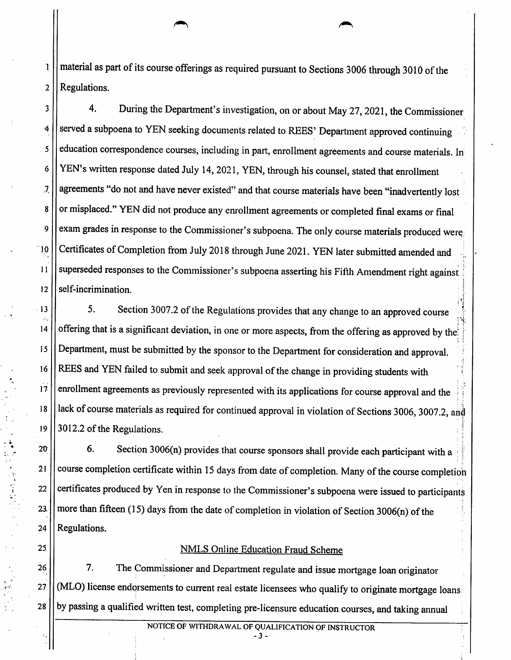$1$   $||$  material as part of its course offerings as required pursuant to Sections 3006 through 3010 of the 2 || Regulations.

<sup>3</sup> | 4. During the Department's investigation, on or about May 27, 2021, the Commissioner 4 Served a subpoena to YEN seeking documents related to REES' Department approved continuing s | education correspondence courses, including in part, enrollment agreements and course materials. In 6 YEN's written response dated July 14, 2021, YEN, through his counsel, stated that enrollment agreements "do not and have never existed" and that course materials have been "inadvertently lost or misplaced." YEN did not produce any enrollment agreements or completed final exams or final exam grades in response to the Commissioner's subpoena. The only course materials produced were 10 Certificates of Completion from July 2018 through June 2021. YEN later submitted amended and 11 | superseded responses to the Commissioner's subpoena asserting his Fifth Amendment right against  $12$  | self-incrimination.

 $\overline{J}$ 

8

9

13 | 5. Section 3007.2 of the Regulations provides that any change to an approved course 14  $\vert\vert$  offering that is a significant deviation, in one or more aspects, from the offering as approved by the 15 Department, must be submitted by the sponsor to the Department for consideration and approval. 16 REES and YEN failed to submit and seek approval of the change in providing students with  $17$ .  $\vert$  enrollment agreements as previously represented with its applications for course approval and the 18 | lack of course materials as required for continued approval in violation of Sections 3006, 3007.2, and 19  $\vert$  3012.2 of the Regulations.

 $20$   $\vert$  6. Section 3006(n) provides that course sponsors shall provide each participant with a 21 | course completion certificate within 15 days from date of completion. Many of the course completion 22 | certificates produced by Yen in response to the Commissioner's subpoena were issued to participants 23.  $\vert$  more than fifteen (15) days from the date of completion in violation of Section 3006(n) of the  $24$  | Regulations.

### 25 | NMLS Online Education Fraud Scheme

26 | The Commissioner and Department regulate and issue mortgage loan originator 27 | (MLO) license endorsements to current real estate licensees who qualify to originate mortgage loans 28 | by passing a qualified written test, completing pre-licensure education courses, and taking annual

NOTICE OF WITHDRAWAL OF QUALIFICATION OF INSTRUCTOR

- 3 -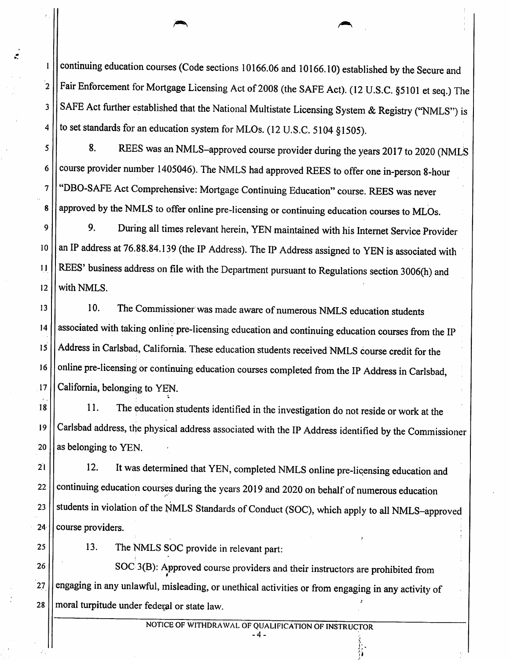continuing education courses (Code sections 10166.06 and 10166.10) established by the Secure and  $2$  | Fair Enforcement for Mortgage Licensing Act of 2008 (the SAFE Act). (12 U.S.C. §5101 et seq.) The 3 SAFE Act further established that the National Multistate Licensing System & Registry ("NMLS") is to set standards for an education system for MLOs. (12 U.S.C. 5104 \$1505).

5 8. REES was an NMLS-approved course provider during the years 2017 to 2020 (NMLS  $6$  | course provider number 1405046). The NMLS had approved REES to offer one in-person 8-hour 7 | "DBO-SAFE Act Comprehensive: Mortgage Continuing Education" course. REES was never approved by the NMLS to offer online pre-licensing or continuing education courses to MLOs.

9. During all times relevant herein, YEN maintained with his Internet Service Provider  $\boldsymbol{Q}$ 10 || an IP address at 76.88.84.139 (the IP Address). The IP Address assigned to YEN is associated with REES' business address on file with the Department pursuant to Regulations section 3006(h) and  $\overline{11}$  $12$  | with NMLS.

13 | 10. The Commissioner was made aware of numerous NMLS education students 14 | associated with taking online pre-licensing education and continuing education courses from the IP 15 Address in Carlsbad, California. These education students received NMLS course credit for the 16 | online pre-licensing or continuing education courses completed from the IP Address in Carlsbad, 17 | California, belonging to YEN.

11. The education students identified in the investigation do not reside or work at the 18 19 Carlsbad address, the physical address associated with the IP Address identified by the Commissioner  $20$  | as belonging to YEN.

21 | 12. It was determined that YEN, completed NMLS online pre-licensing education and 22 | continuing education courses during the years 2019 and 2020 on behalf of numerous education 23 | students in violation of the NMLS Standards of Conduct (SOC), which apply to all NMLS-approved  $24$  | course providers.

1

4

8

25 | 13. The NMLS SOC provide in relevant part:

 $26$   $\left| \right|$  SOC 3(B): Approved course providers and their instructors are prohibited from  $27$   $\vert$  engaging in any unlawful, misleading, or unethical activities or from engaging in any activity of  $28$  | moral turpitude under federal or state law.

- 4-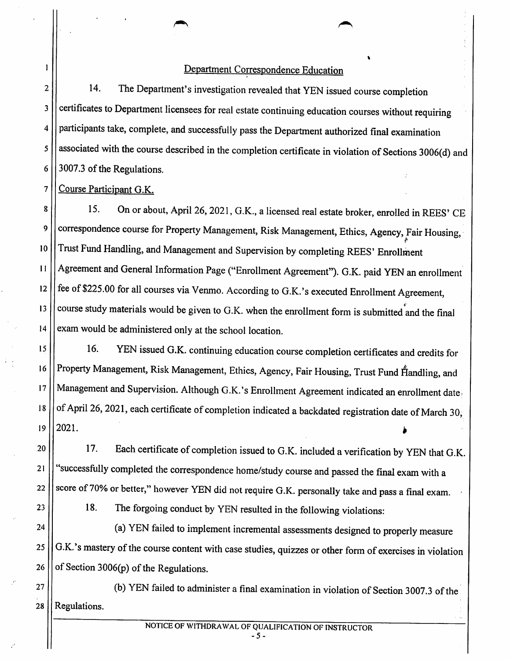### Department Correspondence Education

2<sup>|</sup> 14. The Department's investigation revealed that YEN issued course completion 3 | certificates to Department licensees for real estate continuing education courses without requiring 4 participants take, complete, and successfully pass the Department authorized final examination 5 | associated with the course described in the completion certificate in violation of Sections 3006(d) and  $6 \mid 3007.3$  of the Regulations.

7 Course Participant G.K.

15. On or about, April 26, 2021, G.K., a licensed real estate broker, enrolled in REES' CE 8 correspondence course for Property Management, Risk Management, Ethics, Agency, Fair Housing,  $\boldsymbol{9}$ 10 || Trust Fund Handling, and Management and Supervision by completing REES' Enrollment 11 Agreement and General Information Page ("Enrollment Agreement"). G.K. paid YEN an enrollment 12  $\frac{1}{2}$  fee of \$225.00 for all courses via Venmo. According to G.K.'s executed Enrollment Agreement, 13 | course study materials would be given to G.K. when the enrollment form is submitted and the final  $14$  | exam would be administered only at the school location.

15 | 16. YEN issued G.K. continuing education course completion certificates and credits for 16 | Property Management, Risk Management, Ethics, Agency, Fair Housing, Trust Fund Handling, and 17 | Management and Supervision. Although G.K.'s Enrollment Agreement indicated an enrollment date 18  $\vert\vert$  of April 26, 2021, each certificate of completion indicated a backdated registration date of March 30,  $19$  |  $2021$ .

20  $\vert$  17. Each certificate of completion issued to G.K. included a verification by YEN that G.K. 21 || "successfully completed the correspondence home/study course and passed the final exam with a 22  $\vert\vert$  score of 70% or better," however YEN did not require G.K. personally take and pass a final exam.

23 | 18. The forgoing conduct by YEN resulted in the following violations:

24 | (a) YEN failed to implement incremental assessments designed to properly measure  $25$   $\vert$  G.K.'s mastery of the course content with case studies, quizzes or other form of exercises in violation 26  $\vert\vert$  of Section 3006(p) of the Regulations.

 $27$  | (b) YEN failed to administer a final examination in violation of Section 3007.3 of the  $28$  || Regulations.

NOTICE OF WITHDRAWAL OF QUALIFICATION OF INSTRUCTOR

- 5 -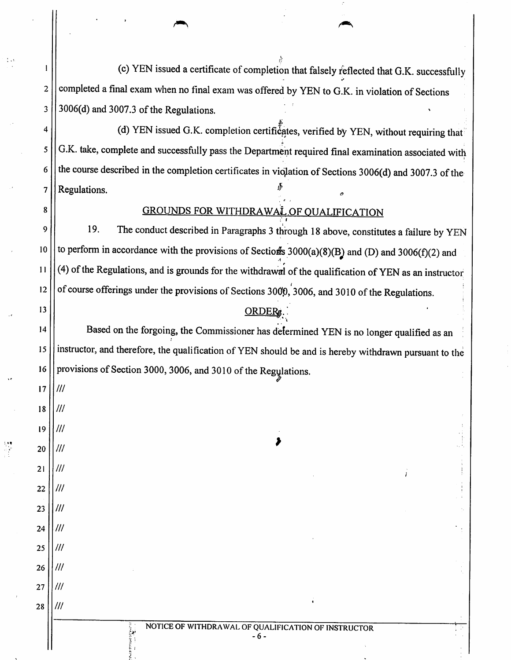(c) YEN issued a certificate of completion that falsely reflected that G.K. successfully  $2$  | completed a final exam when no final exam was offered by YEN to G.K. in violation of Sections  $3 \mid 3006$ (d) and 3007.3 of the Regulations.

(d) YEN issued G.K. completion certificates, verified by YEN, without requiring that G.K. take, complete and successfully pass the Department required final examination associated with  $6$  | the course described in the completion certificates in violation of Sections 3006(d) and 3007.3 of the 7 Regulations.

# 8 9

4

5

### GROUNDS FOR WITHDRAWAL OF QUALIFICATION

19. The conduct described in Paragraphs 3 through 18 above, constitutes a failure by YEN 10 || to perform in accordance with the provisions of Sections 3000(a)(8)(B) and (D) and 3006(f)(2) and  $11$  (4) of the Regulations, and is grounds for the withdrawal of the qualification of YEN as an instructor 12  $\vert\vert$  of course offerings under the provisions of Sections 3000, 3006, and 3010 of the Regulations.

## 13 || <u>ORDERs</u>

14 | Based on the forgoing, the Commissioner has determined YEN is no longer qualified as an 15 | instructor, and therefore, the qualification of YEN should be and is hereby withdrawn pursuant to the 16 | provisions of Section 3000, 3006, and 3010 of the Regulations.

 $18$  1/1/1 19

17

///

///

///

///

///

///

 $^{\prime\prime\prime}$ 

 $III$ 

20 ||*|||* 

21

22

23

25

27

28

 $24$  11///

 $26$  11/1/

- 6 -